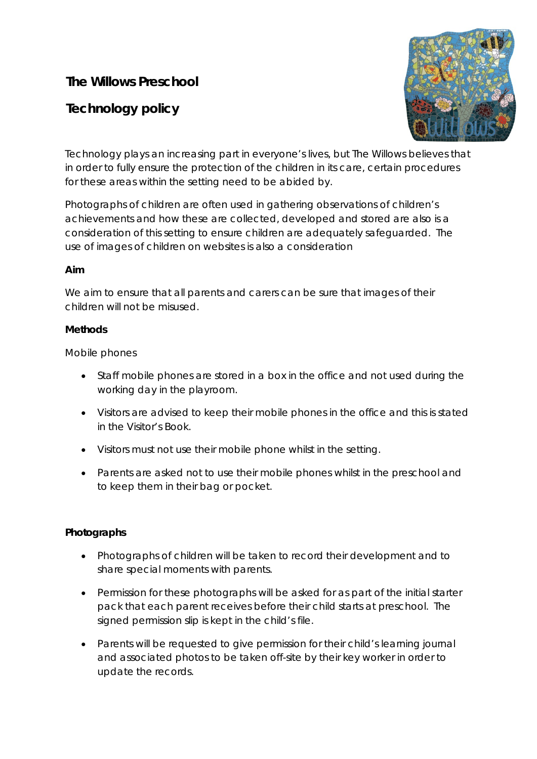# **The Willows Preschool**

# **Technology policy**



Technology plays an increasing part in everyone's lives, but The Willows believes that in order to fully ensure the protection of the children in its care, certain procedures for these areas within the setting need to be abided by.

Photographs of children are often used in gathering observations of children's achievements and how these are collected, developed and stored are also is a consideration of this setting to ensure children are adequately safeguarded. The use of images of children on websites is also a consideration

#### **Aim**

We aim to ensure that all parents and carers can be sure that images of their children will not be misused.

#### **Methods**

Mobile phones

- Staff mobile phones are stored in a box in the office and not used during the working day in the playroom.
- Visitors are advised to keep their mobile phones in the office and this is stated in the Visitor's Book.
- Visitors must not use their mobile phone whilst in the setting.
- Parents are asked not to use their mobile phones whilst in the preschool and to keep them in their bag or pocket.

#### **Photographs**

- Photographs of children will be taken to record their development and to share special moments with parents.
- Permission for these photographs will be asked for as part of the initial starter pack that each parent receives before their child starts at preschool. The signed permission slip is kept in the child's file.
- Parents will be requested to give permission for their child's learning journal and associated photos to be taken off-site by their key worker in order to update the records.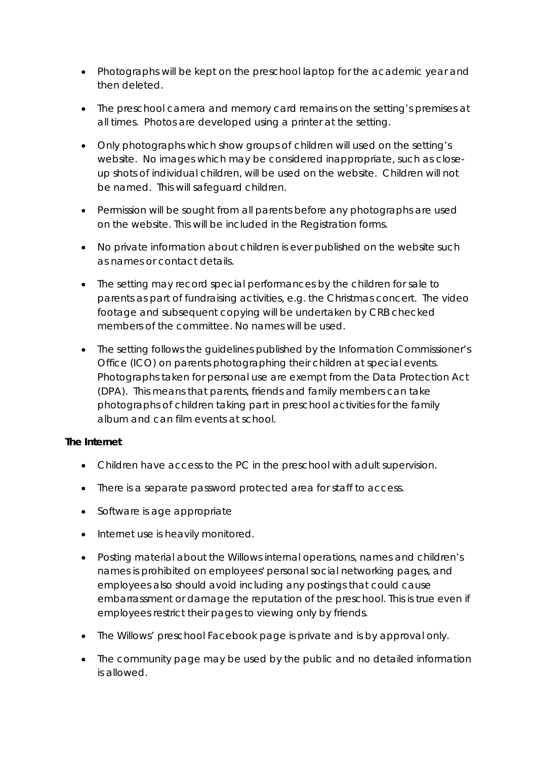- Photographs will be kept on the preschool laptop for the academic year and then deleted.
- The preschool camera and memory card remains on the setting's premises at all times. Photos are developed using a printer at the setting.
- Only photographs which show groups of children will used on the setting's website. No images which may be considered inappropriate, such as closeup shots of individual children, will be used on the website. Children will not be named. This will safeguard children.
- Permission will be sought from all parents before any photographs are used on the website. This will be included in the Registration forms.
- No private information about children is ever published on the website such as names or contact details.
- The setting may record special performances by the children for sale to parents as part of fundraising activities, e.g. the Christmas concert. The video footage and subsequent copying will be undertaken by CRB checked members of the committee. No names will be used.
- The setting follows the guidelines published by the Information Commissioner's Office (ICO) on parents photographing their children at special events. Photographs taken for personal use are exempt from the Data Protection Act (DPA). This means that parents, friends and family members can take photographs of children taking part in preschool activities for the family album and can film events at school.

#### **The Internet**

- Children have access to the PC in the preschool with adult supervision.
- There is a separate password protected area for staff to access.
- Software is age appropriate
- Internet use is heavily monitored.
- Posting material about the Willows internal operations, names and children's names is prohibited on employees' personal social networking pages, and employees also should avoid including any postings that could cause embarrassment or damage the reputation of the preschool. This is true even if employees restrict their pages to viewing only by friends.
- The Willows' preschool Facebook page is private and is by approval only.
- The community page may be used by the public and no detailed information is allowed.